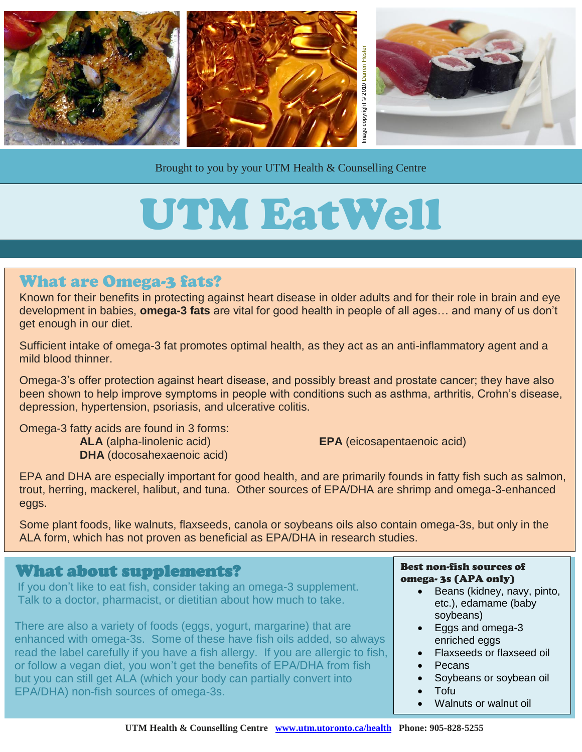

Brought to you by your UTM Health & Counselling Centre

# UTM EatWell

## What are Omega-3 fats?

Known for their benefits in protecting against heart disease in older adults and for their role in brain and eye development in babies, **omega-3 fats** are vital for good health in people of all ages… and many of us don't get enough in our diet.

Sufficient intake of omega-3 fat promotes optimal health, as they act as an anti-inflammatory agent and a mild blood thinner.

Omega-3's offer protection against heart disease, and possibly breast and prostate cancer; they have also been shown to help improve symptoms in people with conditions such as asthma, arthritis, Crohn's disease, depression, hypertension, psoriasis, and ulcerative colitis.

Omega-3 fatty acids are found in 3 forms:

**ALA** (alpha-linolenic acid) **EPA** (eicosapentaenoic acid) **DHA** (docosahexaenoic acid)

EPA and DHA are especially important for good health, and are primarily founds in fatty fish such as salmon, trout, herring, mackerel, halibut, and tuna. Other sources of EPA/DHA are shrimp and omega-3-enhanced eggs.

Some plant foods, like walnuts, flaxseeds, canola or soybeans oils also contain omega-3s, but only in the ALA form, which has not proven as beneficial as EPA/DHA in research studies.

### What about supplements?

 If you don't like to eat fish, consider taking an omega-3 supplement. Talk to a doctor, pharmacist, or dietitian about how much to take.

There are also a variety of foods (eggs, yogurt, margarine) that are enhanced with omega-3s. Some of these have fish oils added, so always read the label carefully if you have a fish allergy. If you are allergic to fish, or follow a vegan diet, you won't get the benefits of EPA/DHA from fish but you can still get ALA (which your body can partially convert into EPA/DHA) non-fish sources of omega-3s.

#### Best non-fish sources of omega- 3s (APA only)

- Beans (kidney, navy, pinto, etc.), edamame (baby soybeans)
- Eggs and omega-3 enriched eggs
- Flaxseeds or flaxseed oil
- Pecans
- Soybeans or soybean oil
- Tofu
- Walnuts or walnut oil